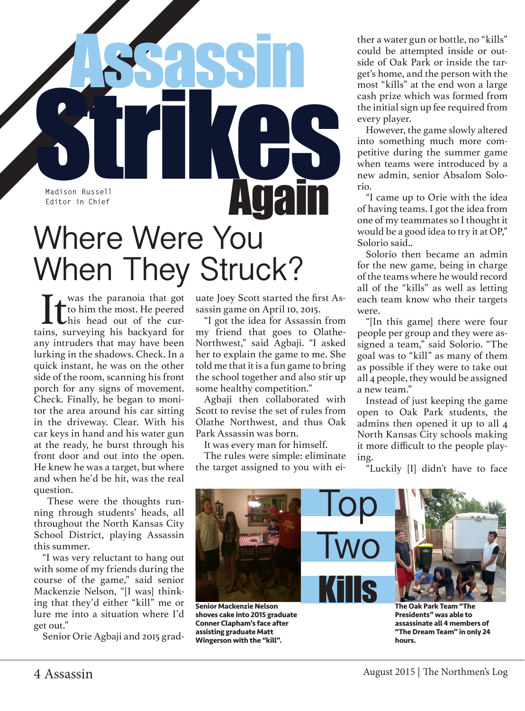

When They Struck?

**If** was the paranoia that got<br>to him the most. He peered<br>his head out of the cur-<br>ins, surveying his backyard for to him the most. He peered his head out of the curtains, surveying his backyard for any intruders that may have been lurking in the shadows. Check. In a quick instant, he was on the other side of the room, scanning his front porch for any signs of movement. Check. Finally, he began to monitor the area around his car sitting in the driveway. Clear. With his car keys in hand and his water gun at the ready, he burst through his front door and out into the open. He knew he was a target, but where and when he'd be hit, was the real question.

 These were the thoughts running through students' heads, all throughout the North Kansas City School District, playing Assassin this summer.

"I was very reluctant to hang out with some of my friends during the course of the game," said senior Mackenzie Nelson, "[I was] thinking that they'd either "kill" me or lure me into a situation where I'd get out."

Senior Orie Agbaji and 2015 grad-

uate Joey Scott started the first Assassin game on April 10, 2015.

"I got the idea for Assassin from my friend that goes to Olathe-Northwest," said Agbaji. "I asked her to explain the game to me. She told me that it is a fun game to bring the school together and also stir up some healthy competition."

Agbaji then collaborated with Scott to revise the set of rules from Olathe Northwest, and thus Oak Park Assassin was born.

It was every man for himself.

The rules were simple: eliminate the target assigned to you with either a water gun or bottle, no "kills" could be attempted inside or outside of Oak Park or inside the target's home, and the person with the most "kills" at the end won a large cash prize which was formed from the initial sign up fee required from every player.

However, the game slowly altered into something much more competitive during the summer game when teams were introduced by a new admin, senior Absalom Solorio.

"I came up to Orie with the idea of having teams. I got the idea from one of my teammates so I thought it would be a good idea to try it at OP," Solorio said..

Solorio then became an admin for the new game, being in charge of the teams where he would record all of the "kills" as well as letting each team know who their targets were.

"[In this game] there were four people per group and they were assigned a team," said Solorio. "The goal was to "kill" as many of them as possible if they were to take out all 4 people, they would be assigned a new team."

Instead of just keeping the game open to Oak Park students, the admins then opened it up to all 4 North Kansas City schools making it more difficult to the people playing.

"Luckily [I] didn't have to face



**Senior Mackenzie Nelson shoves cake into 2015 graduate Conner Clapham's face after assisting graduate Matt Wingerson with the "kill".**

**The Oak Park Team "The Presidents" was able to assassinate all 4 members of "The Dream Team" in only 24 hours.**